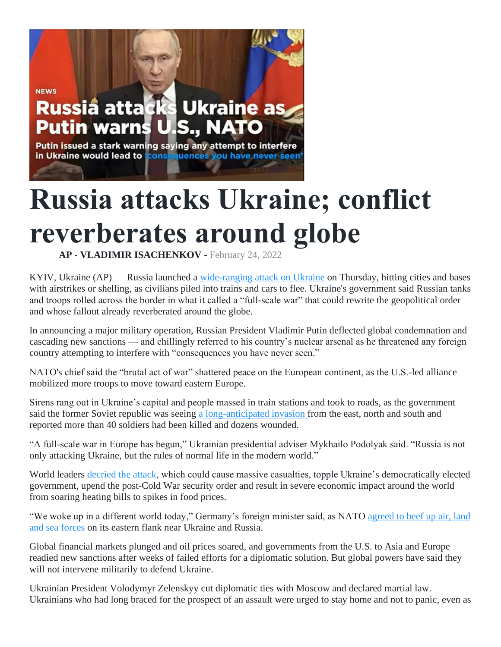## **NEWS** Russia attack **Ukraine as Putin warns** IU I.S., NATO

Putin issued a stark warning saying any attempt to interfere in Ukraine would lead to fconse quences you have never seen

## **Russia attacks Ukraine; conflict reverberates around globe**

**AP - VLADIMIR ISACHENKOV -** February 24, 2022

KYIV, Ukraine (AP) — Russia launched a [wide-ranging attack on Ukraine](https://apnews.com/hub/russia-ukraine) on Thursday, hitting cities and bases with airstrikes or shelling, as civilians piled into trains and cars to flee. Ukraine's government said Russian tanks and troops rolled across the border in what it called a "full-scale war" that could rewrite the geopolitical order and whose fallout already reverberated around the globe.

In announcing a major military operation, Russian President Vladimir Putin deflected global condemnation and cascading new sanctions — and chillingly referred to his country's nuclear arsenal as he threatened any foreign country attempting to interfere with "consequences you have never seen."

NATO's chief said the "brutal act of war" shattered peace on the European continent, as the U.S.-led alliance mobilized more troops to move toward eastern Europe.

Sirens rang out in Ukraine's capital and people massed in train stations and took to roads, as the government said the former Soviet republic was seeing [a long-anticipated invasion](https://apnews.com/article/russia-ukraine-latest-updates-0224-303b0bfdc6148c8738d6ac0ca78142fd) from the east, north and south and reported more than 40 soldiers had been killed and dozens wounded.

"A full-scale war in Europe has begun," Ukrainian presidential adviser Mykhailo Podolyak said. "Russia is not only attacking Ukraine, but the rules of normal life in the modern world."

World leaders [decried the attack,](https://apnews.com/article/russia-ukraine-business-asia-europe-united-nations-8744320842fca825ae4e4ccae5acbe34) which could cause massive casualties, topple Ukraine's democratically elected government, upend the post-Cold War security order and result in severe economic impact around the world from soaring heating bills to spikes in food prices.

"We woke up in a different world today," Germany's foreign minister said, as NATO [agreed to beef up air, land](https://apnews.com/article/russia-ukraine-business-europe-russia-vladimir-putin-71bf9d3687e1a04f11dfb895639a13ca)  [and sea forces](https://apnews.com/article/russia-ukraine-business-europe-russia-vladimir-putin-71bf9d3687e1a04f11dfb895639a13ca) on its eastern flank near Ukraine and Russia.

Global financial markets plunged and oil prices soared, and governments from the U.S. to Asia and Europe readied new sanctions after weeks of failed efforts for a diplomatic solution. But global powers have said they will not intervene militarily to defend Ukraine.

Ukrainian President Volodymyr Zelenskyy cut diplomatic ties with Moscow and declared martial law. Ukrainians who had long braced for the prospect of an assault were urged to stay home and not to panic, even as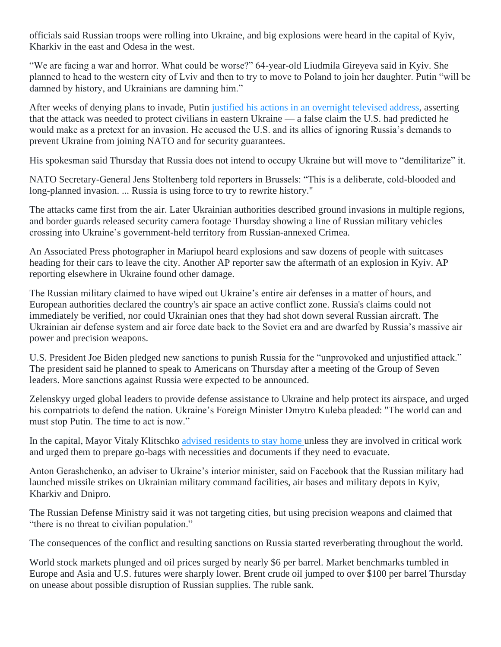officials said Russian troops were rolling into Ukraine, and big explosions were heard in the capital of Kyiv, Kharkiv in the east and Odesa in the west.

"We are facing a war and horror. What could be worse?" 64-year-old Liudmila Gireyeva said in Kyiv. She planned to head to the western city of Lviv and then to try to move to Poland to join her daughter. Putin "will be damned by history, and Ukrainians are damning him."

After weeks of denying plans to invade, Putin [justified his actions in an overnight televised address,](https://apnews.com/article/russia-ukraine-europe-russia-poland-vladimir-putin-f00872897f338dbedd857cd1d880e9d3) asserting that the attack was needed to protect civilians in eastern Ukraine — a false claim the U.S. had predicted he would make as a pretext for an invasion. He accused the U.S. and its allies of ignoring Russia's demands to prevent Ukraine from joining NATO and for security guarantees.

His spokesman said Thursday that Russia does not intend to occupy Ukraine but will move to "demilitarize" it.

NATO Secretary-General Jens Stoltenberg told reporters in Brussels: "This is a deliberate, cold-blooded and long-planned invasion. ... Russia is using force to try to rewrite history."

The attacks came first from the air. Later Ukrainian authorities described ground invasions in multiple regions, and border guards released security camera footage Thursday showing a line of Russian military vehicles crossing into Ukraine's government-held territory from Russian-annexed Crimea.

An Associated Press photographer in Mariupol heard explosions and saw dozens of people with suitcases heading for their cars to leave the city. Another AP reporter saw the aftermath of an explosion in Kyiv. AP reporting elsewhere in Ukraine found other damage.

The Russian military claimed to have wiped out Ukraine's entire air defenses in a matter of hours, and European authorities declared the country's air space an active conflict zone. Russia's claims could not immediately be verified, nor could Ukrainian ones that they had shot down several Russian aircraft. The Ukrainian air defense system and air force date back to the Soviet era and are dwarfed by Russia's massive air power and precision weapons.

U.S. President Joe Biden pledged new sanctions to punish Russia for the "unprovoked and unjustified attack." The president said he planned to speak to Americans on Thursday after a meeting of the Group of Seven leaders. More sanctions against Russia were expected to be announced.

Zelenskyy urged global leaders to provide defense assistance to Ukraine and help protect its airspace, and urged his compatriots to defend the nation. Ukraine's Foreign Minister Dmytro Kuleba pleaded: "The world can and must stop Putin. The time to act is now."

In the capital, Mayor Vitaly Klitschko [advised residents to stay home](https://apnews.com/article/russia-ukraine-entertainment-business-economy-kyiv-6c93f4964cd9d26438dfd4e9c38fe76c) unless they are involved in critical work and urged them to prepare go-bags with necessities and documents if they need to evacuate.

Anton Gerashchenko, an adviser to Ukraine's interior minister, said on Facebook that the Russian military had launched missile strikes on Ukrainian military command facilities, air bases and military depots in Kyiv, Kharkiv and Dnipro.

The Russian Defense Ministry said it was not targeting cities, but using precision weapons and claimed that "there is no threat to civilian population."

The consequences of the conflict and resulting sanctions on Russia started reverberating throughout the world.

World stock markets plunged and oil prices surged by nearly \$6 per barrel. Market benchmarks tumbled in Europe and Asia and U.S. futures were sharply lower. Brent crude oil jumped to over \$100 per barrel Thursday on unease about possible disruption of Russian supplies. The ruble sank.